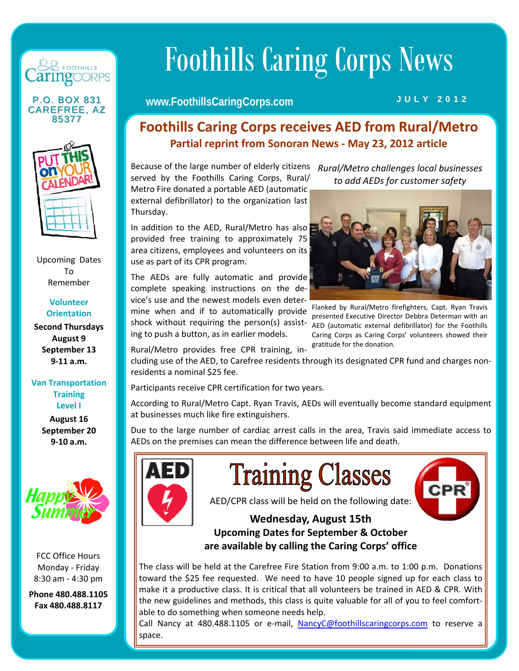

#### **CAREFREE, AZ** 85377



Upcoming Dates To Remember

> **Volunteer Orientation**

**Second Thursdays August 9 September 13 9‐11 a.m.**

**Van Transportation Training Level I**

> **August 16 September 20 9‐10 a.m.**



FCC Office Hours Monday ‐ Friday 8:30 am ‐ 4:30 pm

**Phone 480.488.1105 Fax 480.488.8117**

# Foothills Caring Corps News

#### P.O. BOX 831 Www.FoothillsCaringCorps.com JULY 2012

#### **Foothills Caring Corps receives AED from Rural/Metro Partial reprint from Sonoran News ‐ May 23, 2012 article**

Because of the large number of elderly citizens *Rural/Metro challenges local businesses*  served by the Foothills Caring Corps, Rural/ Metro Fire donated a portable AED (automatic external defibrillator) to the organization last Thursday.

In addition to the AED, Rural/Metro has also provided free training to approximately 75 area citizens, employees and volunteers on its use as part of its CPR program.

The AEDs are fully automatic and provide complete speaking instructions on the de‐ vice's use and the newest models even deter‐ mine when and if to automatically provide shock without requiring the person(s) assisting to push a button, as in earlier models.

Rural/Metro provides free CPR training, in‐

*to add AEDs for customer safety*



Flanked by Rural/Metro firefighters, Capt. Ryan Travis presented Executive Director Debbra Determan with an AED (automatic external defibrillator) for the Foothills Caring Corps as Caring Corps' volunteers showed their gratitude for the donation.

 $CPR^{\circ}$ 

cluding use of the AED, to Carefree residents through its designated CPR fund and charges non‐ residents a nominal \$25 fee.

Participants receive CPR certification for two years.

According to Rural/Metro Capt. Ryan Travis, AEDs will eventually become standard equipment at businesses much like fire extinguishers.

Due to the large number of cardiac arrest calls in the area, Travis said immediate access to AEDs on the premises can mean the difference between life and death.



AED/CPR class will be held on the following date:

**Training Classes** 

**Wednesday, August 15th Upcoming Dates for September & October are available by calling the Caring Corps' office**

The class will be held at the Carefree Fire Station from 9:00 a.m. to 1:00 p.m. Donations toward the \$25 fee requested. We need to have 10 people signed up for each class to make it a productive class. It is critical that all volunteers be trained in AED & CPR. With the new guidelines and methods, this class is quite valuable for all of you to feel comfort‐ able to do something when someone needs help.

Call Nancy at 480.488.1105 or e-mail, NancyC@foothillscaringcorps.com to reserve a space.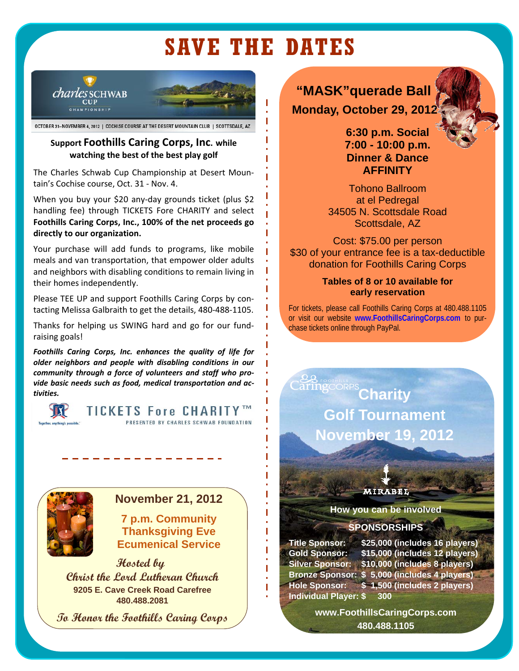## **SAVE THE DATES**

I

П

Π

П



OCTOBER 31-NOVEMBER 4, 2012 | COCHISE COURSE AT THE DESERT MOUNTAIN CLUB | SCOTTSDALE, AZ

#### **Support Foothills Caring Corps, Inc. while watching the best of the best play golf**

The Charles Schwab Cup Championship at Desert Moun‐ tain's Cochise course, Oct. 31 ‐ Nov. 4.

When you buy your \$20 any‐day grounds ticket (plus \$2 handling fee) through TICKETS Fore CHARITY and select **Foothills Caring Corps, Inc., 100% of the net proceeds go directly to our organization.** 

Your purchase will add funds to programs, like mobile meals and van transportation, that empower older adults and neighbors with disabling conditions to remain living in their homes independently.

Please TEE UP and support Foothills Caring Corps by con‐ tacting Melissa Galbraith to get the details, 480‐488‐1105.

Thanks for helping us SWING hard and go for our fund‐ raising goals!

*Foothills Caring Corps, Inc. enhances the quality of life for older neighbors and people with disabling conditions in our community through a force of volunteers and staff who pro‐ vide basic needs such as food, medical transportation and ac‐ tivities.* 



**TICKETS Fore CHARITY** PRESENTED BY CHARLES SCHWAB FOUNDATION



#### **November 21, 2012**

**7 p.m. Community Thanksgiving Eve Ecumenical Service** 

 **Hosted by Christ the Lord Lutheran Church 9205 E. Cave Creek Road Carefree 480.488.2081** 

**To Honor the Foothills Caring Corps** 

### **"MASK"querade Ball Monday, October 29, 2012**

**6:30 p.m. Social 7:00 - 10:00 p.m. Dinner & Dance AFFINITY** 

Tohono Ballroom at el Pedregal 34505 N. Scottsdale Road Scottsdale, AZ

Cost: \$75.00 per person \$30 of your entrance fee is a tax-deductible donation for Foothills Caring Corps

#### **Tables of 8 or 10 available for early reservation**

For tickets, please call Foothills Caring Corps at 480.488.1105 or visit our website **www.FoothillsCaringCorps.com** to purchase tickets online through PayPal.

**aring CORPS Charity Golf Tournament November 19, 2012** 

**MIRABEL** 

**How you can be involved** 

#### **SPONSORSHIPS**

**Individual Player: \$ 300** 

ı

I

I

П

I

**Title Sponsor: \$25,000 (includes 16 players) Gold Sponsor: \$15,000 (includes 12 players) Silver Sponsor: \$10,000 (includes 8 players) Bronze Sponsor: \$ 5,000 (includes 4 players) Hole Sponsor: \$ 1,500 (includes 2 players)** 

> **www.FoothillsCaringCorps.com 480.488.1105**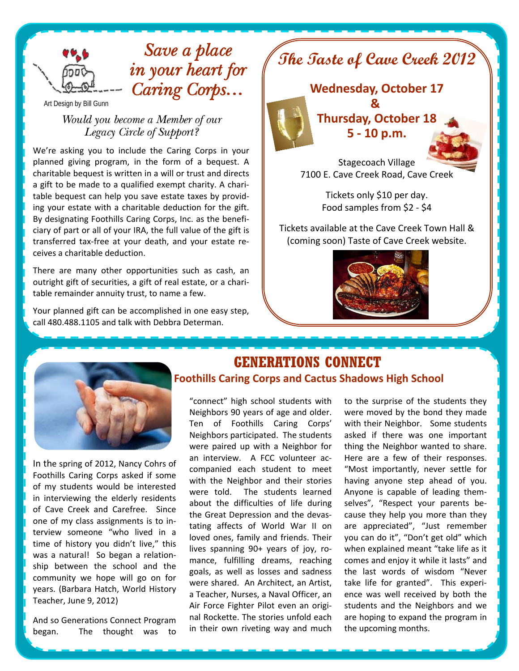

## *Save a place in your heart for Caring Corps…*

Art Design by Bill Gunn

#### *Would you become a Member of our Legacy Circle of Support?*

We're asking you to include the Caring Corps in your planned giving program, in the form of a bequest. A charitable bequest is written in a will or trust and directs a gift to be made to a qualified exempt charity. A chari‐ table bequest can help you save estate taxes by provid‐ ing your estate with a charitable deduction for the gift. By designating Foothills Caring Corps, Inc. as the benefi‐ ciary of part or all of your IRA, the full value of the gift is transferred tax‐free at your death, and your estate re‐ ceives a charitable deduction.

There are many other opportunities such as cash, an outright gift of securities, a gift of real estate, or a chari‐ table remainder annuity trust, to name a few.

Your planned gift can be accomplished in one easy step, call 480.488.1105 and talk with Debbra Determan.



Stagecoach Village 7100 E. Cave Creek Road, Cave Creek

> Tickets only \$10 per day. Food samples from \$2 ‐ \$4

Tickets available at the Cave Creek Town Hall & (coming soon) Taste of Cave Creek website.





In the spring of 2012, Nancy Cohrs of Foothills Caring Corps asked if some of my students would be interested in interviewing the elderly residents of Cave Creek and Carefree. Since one of my class assignments is to in‐ terview someone "who lived in a time of history you didn't live," this was a natural! So began a relationship between the school and the community we hope will go on for years. (Barbara Hatch, World History Teacher, June 9, 2012)

And so Generations Connect Program began. The thought was to

#### **GENERATIONS CONNECT Foothills Caring Corps and Cactus Shadows High School**

"connect" high school students with Neighbors 90 years of age and older. Ten of Foothills Caring Corps' Neighbors participated. The students were paired up with a Neighbor for an interview. A FCC volunteer accompanied each student to meet with the Neighbor and their stories were told. The students learned about the difficulties of life during the Great Depression and the devas‐ tating affects of World War II on loved ones, family and friends. Their lives spanning 90+ years of joy, ro‐ mance, fulfilling dreams, reaching goals, as well as losses and sadness were shared. An Architect, an Artist, a Teacher, Nurses, a Naval Officer, an Air Force Fighter Pilot even an origi‐ nal Rockette. The stories unfold each in their own riveting way and much

to the surprise of the students they were moved by the bond they made with their Neighbor. Some students asked if there was one important thing the Neighbor wanted to share. Here are a few of their responses. "Most importantly, never settle for having anyone step ahead of you. Anyone is capable of leading them‐ selves", "Respect your parents because they help you more than they are appreciated", "Just remember you can do it", "Don't get old" which when explained meant "take life as it comes and enjoy it while it lasts" and the last words of wisdom "Never take life for granted". This experience was well received by both the students and the Neighbors and we are hoping to expand the program in the upcoming months.